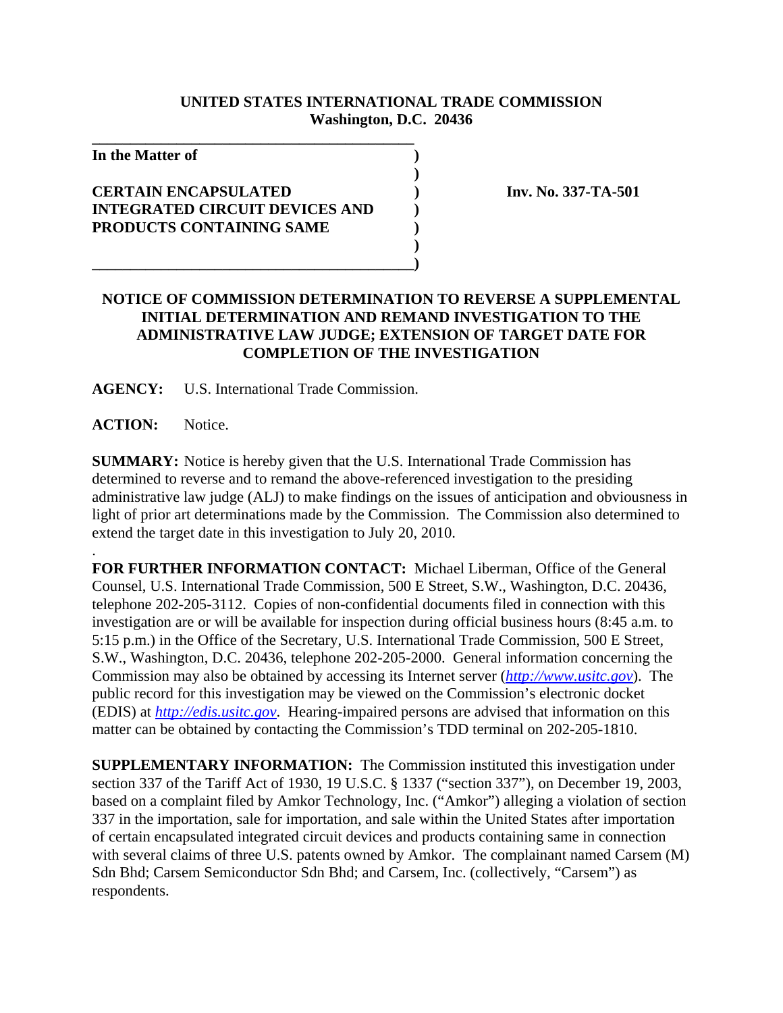## **UNITED STATES INTERNATIONAL TRADE COMMISSION Washington, D.C. 20436**

**)**

**)**

**In the Matter of )**

## **CERTAIN ENCAPSULATED ) Inv. No. 337-TA-501 INTEGRATED CIRCUIT DEVICES AND ) PRODUCTS CONTAINING SAME )**

**\_\_\_\_\_\_\_\_\_\_\_\_\_\_\_\_\_\_\_\_\_\_\_\_\_\_\_\_\_\_\_\_\_\_\_\_\_\_\_\_\_\_**

## **NOTICE OF COMMISSION DETERMINATION TO REVERSE A SUPPLEMENTAL INITIAL DETERMINATION AND REMAND INVESTIGATION TO THE ADMINISTRATIVE LAW JUDGE; EXTENSION OF TARGET DATE FOR COMPLETION OF THE INVESTIGATION**

**AGENCY:** U.S. International Trade Commission.

**\_\_\_\_\_\_\_\_\_\_\_\_\_\_\_\_\_\_\_\_\_\_\_\_\_\_\_\_\_\_\_\_\_\_\_\_\_\_\_\_\_\_)**

**ACTION:** Notice.

.

**SUMMARY:** Notice is hereby given that the U.S. International Trade Commission has determined to reverse and to remand the above-referenced investigation to the presiding administrative law judge (ALJ) to make findings on the issues of anticipation and obviousness in light of prior art determinations made by the Commission. The Commission also determined to extend the target date in this investigation to July 20, 2010.

**FOR FURTHER INFORMATION CONTACT:** Michael Liberman, Office of the General Counsel, U.S. International Trade Commission, 500 E Street, S.W., Washington, D.C. 20436, telephone 202-205-3112. Copies of non-confidential documents filed in connection with this investigation are or will be available for inspection during official business hours (8:45 a.m. to 5:15 p.m.) in the Office of the Secretary, U.S. International Trade Commission, 500 E Street, S.W., Washington, D.C. 20436, telephone 202-205-2000. General information concerning the Commission may also be obtained by accessing its Internet server (*http://www.usitc.gov*). The public record for this investigation may be viewed on the Commission's electronic docket (EDIS) at *http://edis.usitc.gov*. Hearing-impaired persons are advised that information on this matter can be obtained by contacting the Commission's TDD terminal on 202-205-1810.

**SUPPLEMENTARY INFORMATION:** The Commission instituted this investigation under section 337 of the Tariff Act of 1930, 19 U.S.C. § 1337 ("section 337"), on December 19, 2003, based on a complaint filed by Amkor Technology, Inc. ("Amkor") alleging a violation of section 337 in the importation, sale for importation, and sale within the United States after importation of certain encapsulated integrated circuit devices and products containing same in connection with several claims of three U.S. patents owned by Amkor. The complainant named Carsem (M) Sdn Bhd; Carsem Semiconductor Sdn Bhd; and Carsem, Inc. (collectively, "Carsem") as respondents.